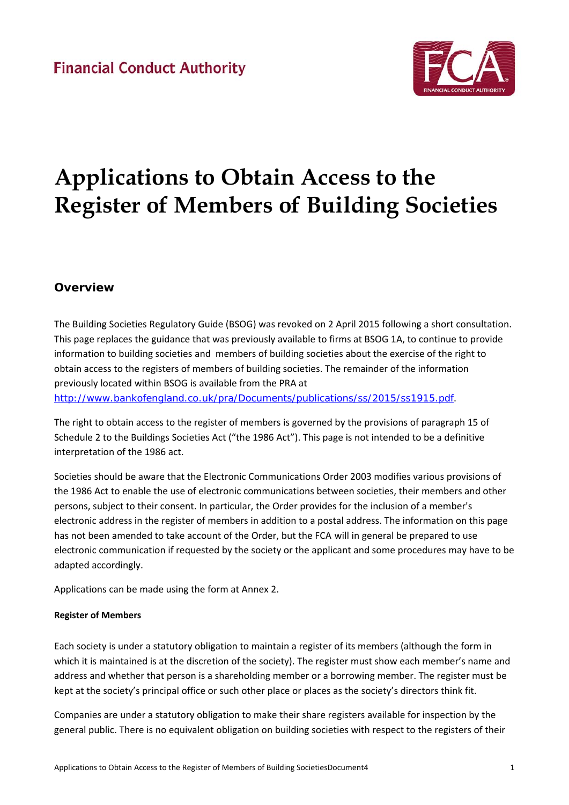

# **Applications to Obtain Access to the Register of Members of Building Societies**

# **Overview**

The Building Societies Regulatory Guide (BSOG) was revoked on 2 April 2015 following a short consultation. This page replaces the guidance that was previously available to firms at BSOG 1A, to continue to provide information to building societies and members of building societies about the exercise of the right to obtain access to the registers of members of building societies. The remainder of the information previously located within BSOG is available from the PRA at http://www.bankofengland.co.uk/pra/Documents/publications/ss/2015/ss1915.pdf.

The right to obtain access to the register of members is governed by the provisions of paragraph 15 of Schedule 2 to the Buildings Societies Act ("the 1986 Act"). This page is not intended to be a definitive interpretation of the 1986 act.

Societies should be aware that the Electronic Communications Order 2003 modifies various provisions of the 1986 Act to enable the use of electronic communications between societies, their members and other persons, subject to their consent. In particular, the Order provides for the inclusion of a member's electronic address in the register of members in addition to a postal address. The information on this page has not been amended to take account of the Order, but the FCA will in general be prepared to use electronic communication if requested by the society or the applicant and some procedures may have to be adapted accordingly.

Applications can be made using the form at Annex 2.

# **Register of Members**

Each society is under a statutory obligation to maintain a register of its members (although the form in which it is maintained is at the discretion of the society). The register must show each member's name and address and whether that person is a shareholding member or a borrowing member. The register must be kept at the society's principal office or such other place or places as the society's directors think fit.

Companies are under a statutory obligation to make their share registers available for inspection by the general public. There is no equivalent obligation on building societies with respect to the registers of their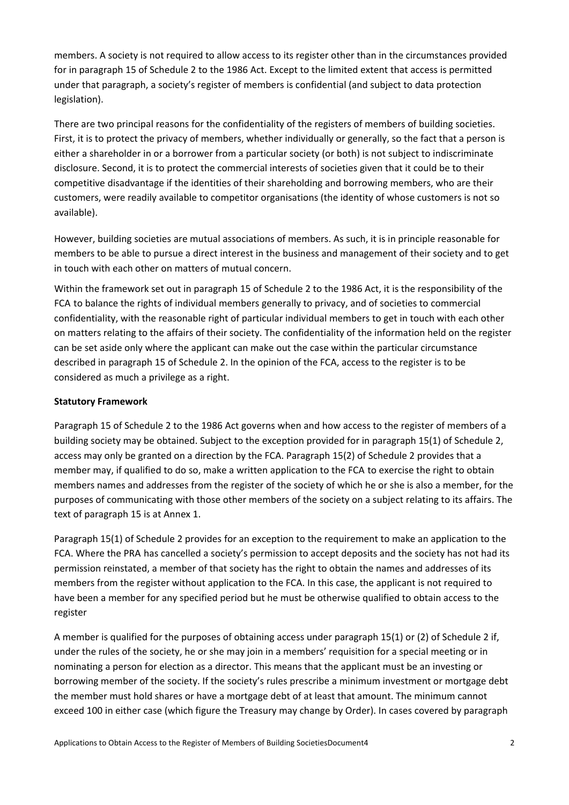members. A society is not required to allow access to its register other than in the circumstances provided for in paragraph 15 of Schedule 2 to the 1986 Act. Except to the limited extent that access is permitted under that paragraph, a society's register of members is confidential (and subject to data protection legislation).

There are two principal reasons for the confidentiality of the registers of members of building societies. First, it is to protect the privacy of members, whether individually or generally, so the fact that a person is either a shareholder in or a borrower from a particular society (or both) is not subject to indiscriminate disclosure. Second, it is to protect the commercial interests of societies given that it could be to their competitive disadvantage if the identities of their shareholding and borrowing members, who are their customers, were readily available to competitor organisations (the identity of whose customers is not so available).

However, building societies are mutual associations of members. As such, it is in principle reasonable for members to be able to pursue a direct interest in the business and management of their society and to get in touch with each other on matters of mutual concern.

Within the framework set out in paragraph 15 of Schedule 2 to the 1986 Act, it is the responsibility of the FCA to balance the rights of individual members generally to privacy, and of societies to commercial confidentiality, with the reasonable right of particular individual members to get in touch with each other on matters relating to the affairs of their society. The confidentiality of the information held on the register can be set aside only where the applicant can make out the case within the particular circumstance described in paragraph 15 of Schedule 2. In the opinion of the FCA, access to the register is to be considered as much a privilege as a right.

# **Statutory Framework**

Paragraph 15 of Schedule 2 to the 1986 Act governs when and how access to the register of members of a building society may be obtained. Subject to the exception provided for in paragraph 15(1) of Schedule 2, access may only be granted on a direction by the FCA. Paragraph 15(2) of Schedule 2 provides that a member may, if qualified to do so, make a written application to the FCA to exercise the right to obtain members names and addresses from the register of the society of which he or she is also a member, for the purposes of communicating with those other members of the society on a subject relating to its affairs. The text of paragraph 15 is at Annex 1.

Paragraph 15(1) of Schedule 2 provides for an exception to the requirement to make an application to the FCA. Where the PRA has cancelled a society's permission to accept deposits and the society has not had its permission reinstated, a member of that society has the right to obtain the names and addresses of its members from the register without application to the FCA. In this case, the applicant is not required to have been a member for any specified period but he must be otherwise qualified to obtain access to the register

A member is qualified for the purposes of obtaining access under paragraph 15(1) or (2) of Schedule 2 if, under the rules of the society, he or she may join in a members' requisition for a special meeting or in nominating a person for election as a director. This means that the applicant must be an investing or borrowing member of the society. If the society's rules prescribe a minimum investment or mortgage debt the member must hold shares or have a mortgage debt of at least that amount. The minimum cannot exceed 100 in either case (which figure the Treasury may change by Order). In cases covered by paragraph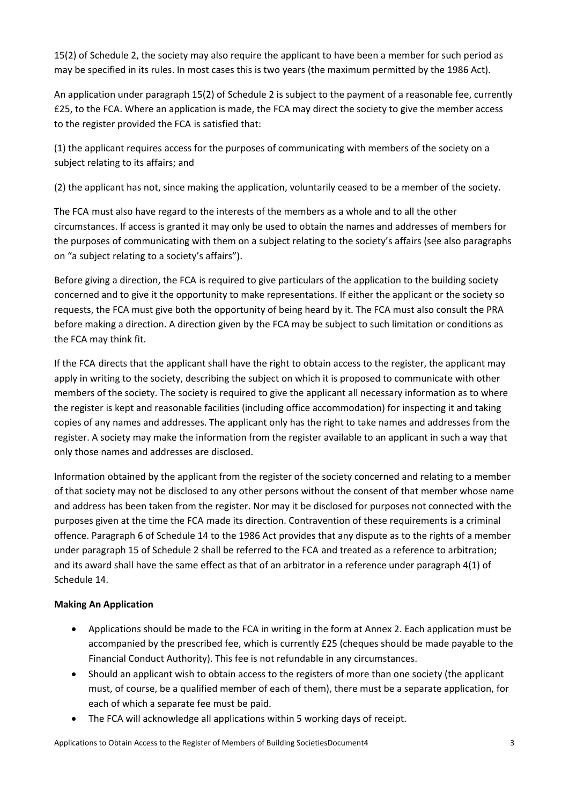15(2) of Schedule 2, the society may also require the applicant to have been a member for such period as may be specified in its rules. In most cases this is two years (the maximum permitted by the 1986 Act).

An application under paragraph 15(2) of Schedule 2 is subject to the payment of a reasonable fee, currently £25, to the FCA. Where an application is made, the FCA may direct the society to give the member access to the register provided the FCA is satisfied that:

(1) the applicant requires access for the purposes of communicating with members of the society on a subject relating to its affairs; and

(2) the applicant has not, since making the application, voluntarily ceased to be a member of the society.

The FCA must also have regard to the interests of the members as a whole and to all the other circumstances. If access is granted it may only be used to obtain the names and addresses of members for the purposes of communicating with them on a subject relating to the society's affairs (see also paragraphs on "a subject relating to a society's affairs").

Before giving a direction, the FCA is required to give particulars of the application to the building society concerned and to give it the opportunity to make representations. If either the applicant or the society so requests, the FCA must give both the opportunity of being heard by it. The FCA must also consult the PRA before making a direction. A direction given by the FCA may be subject to such limitation or conditions as the FCA may think fit.

If the FCA directs that the applicant shall have the right to obtain access to the register, the applicant may apply in writing to the society, describing the subject on which it is proposed to communicate with other members of the society. The society is required to give the applicant all necessary information as to where the register is kept and reasonable facilities (including office accommodation) for inspecting it and taking copies of any names and addresses. The applicant only has the right to take names and addresses from the register. A society may make the information from the register available to an applicant in such a way that only those names and addresses are disclosed.

Information obtained by the applicant from the register of the society concerned and relating to a member of that society may not be disclosed to any other persons without the consent of that member whose name and address has been taken from the register. Nor may it be disclosed for purposes not connected with the purposes given at the time the FCA made its direction. Contravention of these requirements is a criminal offence. Paragraph 6 of Schedule 14 to the 1986 Act provides that any dispute as to the rights of a member under paragraph 15 of Schedule 2 shall be referred to the FCA and treated as a reference to arbitration; and its award shall have the same effect as that of an arbitrator in a reference under paragraph 4(1) of Schedule 14.

# **Making An Application**

- Applications should be made to the FCA in writing in the form at Annex 2. Each application must be accompanied by the prescribed fee, which is currently £25 (cheques should be made payable to the Financial Conduct Authority). This fee is not refundable in any circumstances.
- Should an applicant wish to obtain access to the registers of more than one society (the applicant must, of course, be a qualified member of each of them), there must be a separate application, for each of which a separate fee must be paid.
- The FCA will acknowledge all applications within 5 working days of receipt.

Applications to Obtain Access to the Register of Members of Building SocietiesDocument4 3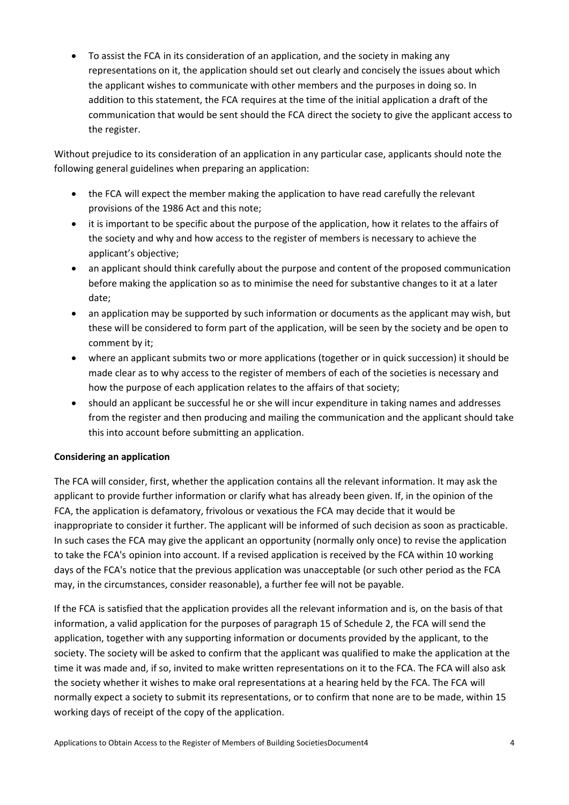To assist the FCA in its consideration of an application, and the society in making any representations on it, the application should set out clearly and concisely the issues about which the applicant wishes to communicate with other members and the purposes in doing so. In addition to this statement, the FCA requires at the time of the initial application a draft of the communication that would be sent should the FCA direct the society to give the applicant access to the register.

Without prejudice to its consideration of an application in any particular case, applicants should note the following general guidelines when preparing an application:

- the FCA will expect the member making the application to have read carefully the relevant provisions of the 1986 Act and this note;
- it is important to be specific about the purpose of the application, how it relates to the affairs of the society and why and how access to the register of members is necessary to achieve the applicant's objective;
- an applicant should think carefully about the purpose and content of the proposed communication before making the application so as to minimise the need for substantive changes to it at a later date;
- an application may be supported by such information or documents as the applicant may wish, but these will be considered to form part of the application, will be seen by the society and be open to comment by it;
- where an applicant submits two or more applications (together or in quick succession) it should be made clear as to why access to the register of members of each of the societies is necessary and how the purpose of each application relates to the affairs of that society;
- should an applicant be successful he or she will incur expenditure in taking names and addresses from the register and then producing and mailing the communication and the applicant should take this into account before submitting an application.

# **Considering an application**

The FCA will consider, first, whether the application contains all the relevant information. It may ask the applicant to provide further information or clarify what has already been given. If, in the opinion of the FCA, the application is defamatory, frivolous or vexatious the FCA may decide that it would be inappropriate to consider it further. The applicant will be informed of such decision as soon as practicable. In such cases the FCA may give the applicant an opportunity (normally only once) to revise the application to take the FCA's opinion into account. If a revised application is received by the FCA within 10 working days of the FCA's notice that the previous application was unacceptable (or such other period as the FCA may, in the circumstances, consider reasonable), a further fee will not be payable.

If the FCA is satisfied that the application provides all the relevant information and is, on the basis of that information, a valid application for the purposes of paragraph 15 of Schedule 2, the FCA will send the application, together with any supporting information or documents provided by the applicant, to the society. The society will be asked to confirm that the applicant was qualified to make the application at the time it was made and, if so, invited to make written representations on it to the FCA. The FCA will also ask the society whether it wishes to make oral representations at a hearing held by the FCA. The FCA will normally expect a society to submit its representations, or to confirm that none are to be made, within 15 working days of receipt of the copy of the application.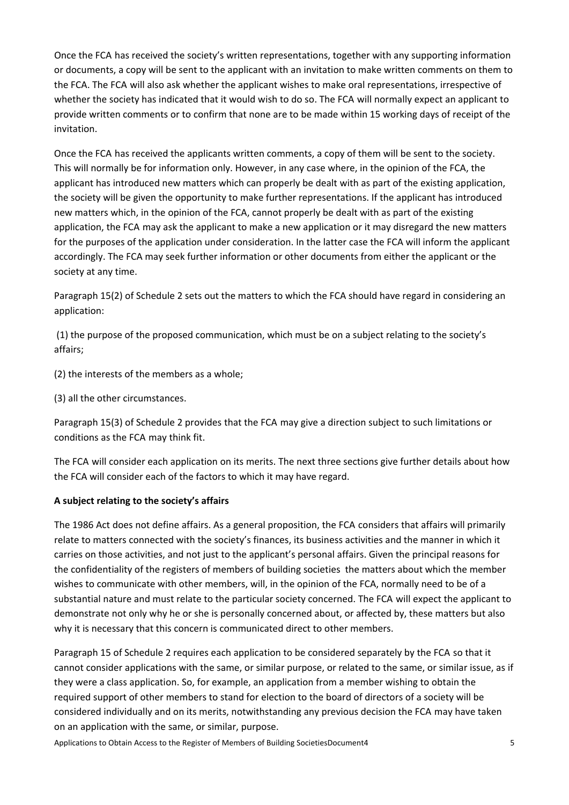Once the FCA has received the society's written representations, together with any supporting information or documents, a copy will be sent to the applicant with an invitation to make written comments on them to the FCA. The FCA will also ask whether the applicant wishes to make oral representations, irrespective of whether the society has indicated that it would wish to do so. The FCA will normally expect an applicant to provide written comments or to confirm that none are to be made within 15 working days of receipt of the invitation.

Once the FCA has received the applicants written comments, a copy of them will be sent to the society. This will normally be for information only. However, in any case where, in the opinion of the FCA, the applicant has introduced new matters which can properly be dealt with as part of the existing application, the society will be given the opportunity to make further representations. If the applicant has introduced new matters which, in the opinion of the FCA, cannot properly be dealt with as part of the existing application, the FCA may ask the applicant to make a new application or it may disregard the new matters for the purposes of the application under consideration. In the latter case the FCA will inform the applicant accordingly. The FCA may seek further information or other documents from either the applicant or the society at any time.

Paragraph 15(2) of Schedule 2 sets out the matters to which the FCA should have regard in considering an application:

(1) the purpose of the proposed communication, which must be on a subject relating to the society's affairs;

(2) the interests of the members as a whole;

(3) all the other circumstances.

Paragraph 15(3) of Schedule 2 provides that the FCA may give a direction subject to such limitations or conditions as the FCA may think fit.

The FCA will consider each application on its merits. The next three sections give further details about how the FCA will consider each of the factors to which it may have regard.

# **A subject relating to the society's affairs**

The 1986 Act does not define affairs. As a general proposition, the FCA considers that affairs will primarily relate to matters connected with the society's finances, its business activities and the manner in which it carries on those activities, and not just to the applicant's personal affairs. Given the principal reasons for the confidentiality of the registers of members of building societies the matters about which the member wishes to communicate with other members, will, in the opinion of the FCA, normally need to be of a substantial nature and must relate to the particular society concerned. The FCA will expect the applicant to demonstrate not only why he or she is personally concerned about, or affected by, these matters but also why it is necessary that this concern is communicated direct to other members.

Paragraph 15 of Schedule 2 requires each application to be considered separately by the FCA so that it cannot consider applications with the same, or similar purpose, or related to the same, or similar issue, as if they were a class application. So, for example, an application from a member wishing to obtain the required support of other members to stand for election to the board of directors of a society will be considered individually and on its merits, notwithstanding any previous decision the FCA may have taken on an application with the same, or similar, purpose.

Applications to Obtain Access to the Register of Members of Building SocietiesDocument4 5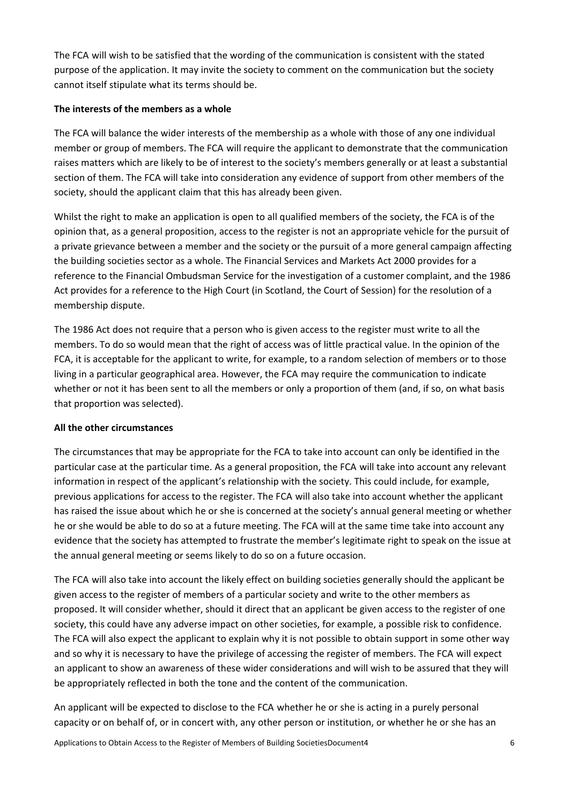The FCA will wish to be satisfied that the wording of the communication is consistent with the stated purpose of the application. It may invite the society to comment on the communication but the society cannot itself stipulate what its terms should be.

#### **The interests of the members as a whole**

The FCA will balance the wider interests of the membership as a whole with those of any one individual member or group of members. The FCA will require the applicant to demonstrate that the communication raises matters which are likely to be of interest to the society's members generally or at least a substantial section of them. The FCA will take into consideration any evidence of support from other members of the society, should the applicant claim that this has already been given.

Whilst the right to make an application is open to all qualified members of the society, the FCA is of the opinion that, as a general proposition, access to the register is not an appropriate vehicle for the pursuit of a private grievance between a member and the society or the pursuit of a more general campaign affecting the building societies sector as a whole. The Financial Services and Markets Act 2000 provides for a reference to the Financial Ombudsman Service for the investigation of a customer complaint, and the 1986 Act provides for a reference to the High Court (in Scotland, the Court of Session) for the resolution of a membership dispute.

The 1986 Act does not require that a person who is given access to the register must write to all the members. To do so would mean that the right of access was of little practical value. In the opinion of the FCA, it is acceptable for the applicant to write, for example, to a random selection of members or to those living in a particular geographical area. However, the FCA may require the communication to indicate whether or not it has been sent to all the members or only a proportion of them (and, if so, on what basis that proportion was selected).

# **All the other circumstances**

The circumstances that may be appropriate for the FCA to take into account can only be identified in the particular case at the particular time. As a general proposition, the FCA will take into account any relevant information in respect of the applicant's relationship with the society. This could include, for example, previous applications for access to the register. The FCA will also take into account whether the applicant has raised the issue about which he or she is concerned at the society's annual general meeting or whether he or she would be able to do so at a future meeting. The FCA will at the same time take into account any evidence that the society has attempted to frustrate the member's legitimate right to speak on the issue at the annual general meeting or seems likely to do so on a future occasion.

The FCA will also take into account the likely effect on building societies generally should the applicant be given access to the register of members of a particular society and write to the other members as proposed. It will consider whether, should it direct that an applicant be given access to the register of one society, this could have any adverse impact on other societies, for example, a possible risk to confidence. The FCA will also expect the applicant to explain why it is not possible to obtain support in some other way and so why it is necessary to have the privilege of accessing the register of members. The FCA will expect an applicant to show an awareness of these wider considerations and will wish to be assured that they will be appropriately reflected in both the tone and the content of the communication.

An applicant will be expected to disclose to the FCA whether he or she is acting in a purely personal capacity or on behalf of, or in concert with, any other person or institution, or whether he or she has an

Applications to Obtain Access to the Register of Members of Building SocietiesDocument4 6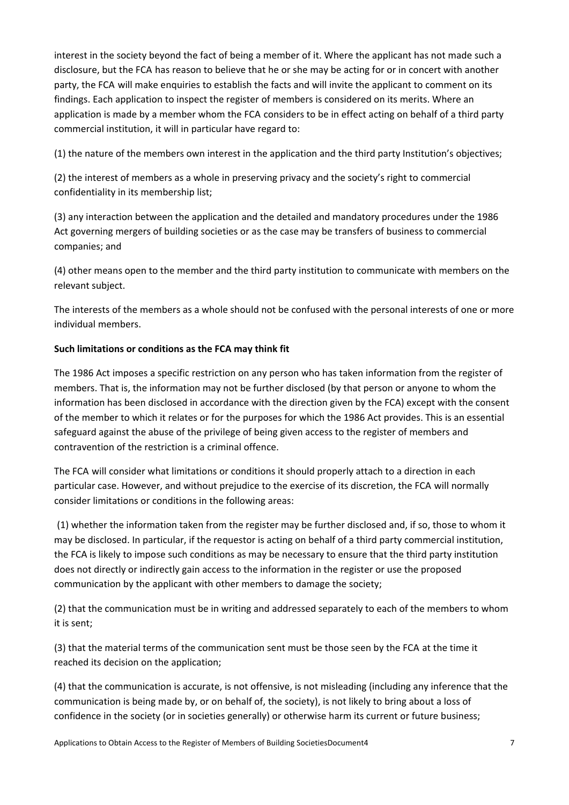interest in the society beyond the fact of being a member of it. Where the applicant has not made such a disclosure, but the FCA has reason to believe that he or she may be acting for or in concert with another party, the FCA will make enquiries to establish the facts and will invite the applicant to comment on its findings. Each application to inspect the register of members is considered on its merits. Where an application is made by a member whom the FCA considers to be in effect acting on behalf of a third party commercial institution, it will in particular have regard to:

(1) the nature of the members own interest in the application and the third party Institution's objectives;

(2) the interest of members as a whole in preserving privacy and the society's right to commercial confidentiality in its membership list;

(3) any interaction between the application and the detailed and mandatory procedures under the 1986 Act governing mergers of building societies or as the case may be transfers of business to commercial companies; and

(4) other means open to the member and the third party institution to communicate with members on the relevant subject.

The interests of the members as a whole should not be confused with the personal interests of one or more individual members.

# **Such limitations or conditions as the FCA may think fit**

The 1986 Act imposes a specific restriction on any person who has taken information from the register of members. That is, the information may not be further disclosed (by that person or anyone to whom the information has been disclosed in accordance with the direction given by the FCA) except with the consent of the member to which it relates or for the purposes for which the 1986 Act provides. This is an essential safeguard against the abuse of the privilege of being given access to the register of members and contravention of the restriction is a criminal offence.

The FCA will consider what limitations or conditions it should properly attach to a direction in each particular case. However, and without prejudice to the exercise of its discretion, the FCA will normally consider limitations or conditions in the following areas:

(1) whether the information taken from the register may be further disclosed and, if so, those to whom it may be disclosed. In particular, if the requestor is acting on behalf of a third party commercial institution, the FCA is likely to impose such conditions as may be necessary to ensure that the third party institution does not directly or indirectly gain access to the information in the register or use the proposed communication by the applicant with other members to damage the society;

(2) that the communication must be in writing and addressed separately to each of the members to whom it is sent;

(3) that the material terms of the communication sent must be those seen by the FCA at the time it reached its decision on the application;

(4) that the communication is accurate, is not offensive, is not misleading (including any inference that the communication is being made by, or on behalf of, the society), is not likely to bring about a loss of confidence in the society (or in societies generally) or otherwise harm its current or future business;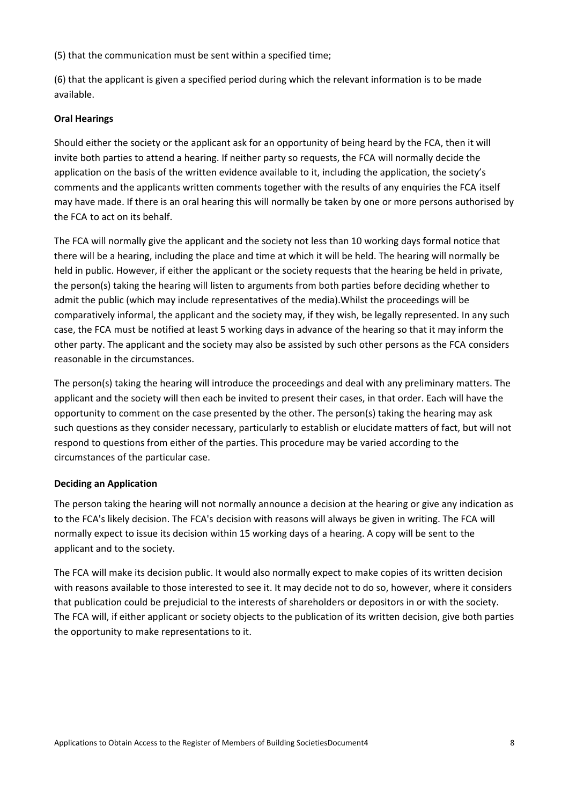(5) that the communication must be sent within a specified time;

(6) that the applicant is given a specified period during which the relevant information is to be made available.

#### **Oral Hearings**

Should either the society or the applicant ask for an opportunity of being heard by the FCA, then it will invite both parties to attend a hearing. If neither party so requests, the FCA will normally decide the application on the basis of the written evidence available to it, including the application, the society's comments and the applicants written comments together with the results of any enquiries the FCA itself may have made. If there is an oral hearing this will normally be taken by one or more persons authorised by the FCA to act on its behalf.

The FCA will normally give the applicant and the society not less than 10 working days formal notice that there will be a hearing, including the place and time at which it will be held. The hearing will normally be held in public. However, if either the applicant or the society requests that the hearing be held in private, the person(s) taking the hearing will listen to arguments from both parties before deciding whether to admit the public (which may include representatives of the media).Whilst the proceedings will be comparatively informal, the applicant and the society may, if they wish, be legally represented. In any such case, the FCA must be notified at least 5 working days in advance of the hearing so that it may inform the other party. The applicant and the society may also be assisted by such other persons as the FCA considers reasonable in the circumstances.

The person(s) taking the hearing will introduce the proceedings and deal with any preliminary matters. The applicant and the society will then each be invited to present their cases, in that order. Each will have the opportunity to comment on the case presented by the other. The person(s) taking the hearing may ask such questions as they consider necessary, particularly to establish or elucidate matters of fact, but will not respond to questions from either of the parties. This procedure may be varied according to the circumstances of the particular case.

#### **Deciding an Application**

The person taking the hearing will not normally announce a decision at the hearing or give any indication as to the FCA's likely decision. The FCA's decision with reasons will always be given in writing. The FCA will normally expect to issue its decision within 15 working days of a hearing. A copy will be sent to the applicant and to the society.

The FCA will make its decision public. It would also normally expect to make copies of its written decision with reasons available to those interested to see it. It may decide not to do so, however, where it considers that publication could be prejudicial to the interests of shareholders or depositors in or with the society. The FCA will, if either applicant or society objects to the publication of its written decision, give both parties the opportunity to make representations to it.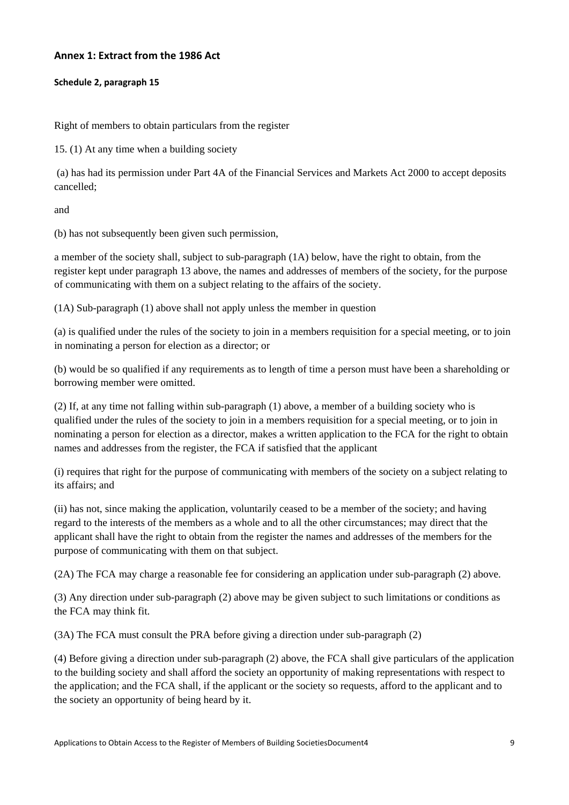## **Annex 1: Extract from the 1986 Act**

#### **Schedule 2, paragraph 15**

Right of members to obtain particulars from the register

15. (1) At any time when a building society

 (a) has had its permission under Part 4A of the Financial Services and Markets Act 2000 to accept deposits cancelled;

and

(b) has not subsequently been given such permission,

a member of the society shall, subject to sub-paragraph (1A) below, have the right to obtain, from the register kept under paragraph 13 above, the names and addresses of members of the society, for the purpose of communicating with them on a subject relating to the affairs of the society.

(1A) Sub-paragraph (1) above shall not apply unless the member in question

(a) is qualified under the rules of the society to join in a members requisition for a special meeting, or to join in nominating a person for election as a director; or

(b) would be so qualified if any requirements as to length of time a person must have been a shareholding or borrowing member were omitted.

(2) If, at any time not falling within sub-paragraph (1) above, a member of a building society who is qualified under the rules of the society to join in a members requisition for a special meeting, or to join in nominating a person for election as a director, makes a written application to the FCA for the right to obtain names and addresses from the register, the FCA if satisfied that the applicant

(i) requires that right for the purpose of communicating with members of the society on a subject relating to its affairs; and

(ii) has not, since making the application, voluntarily ceased to be a member of the society; and having regard to the interests of the members as a whole and to all the other circumstances; may direct that the applicant shall have the right to obtain from the register the names and addresses of the members for the purpose of communicating with them on that subject.

(2A) The FCA may charge a reasonable fee for considering an application under sub-paragraph (2) above.

(3) Any direction under sub-paragraph (2) above may be given subject to such limitations or conditions as the FCA may think fit.

(3A) The FCA must consult the PRA before giving a direction under sub-paragraph (2)

(4) Before giving a direction under sub-paragraph (2) above, the FCA shall give particulars of the application to the building society and shall afford the society an opportunity of making representations with respect to the application; and the FCA shall, if the applicant or the society so requests, afford to the applicant and to the society an opportunity of being heard by it.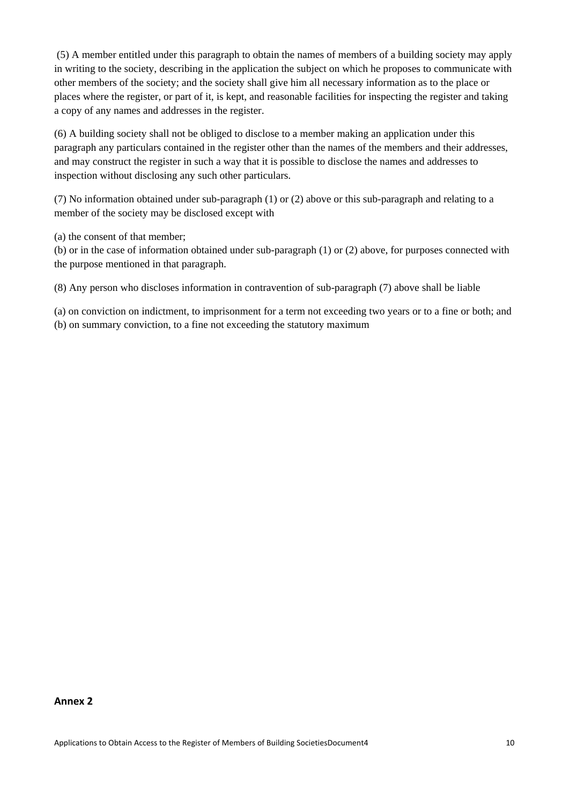(5) A member entitled under this paragraph to obtain the names of members of a building society may apply in writing to the society, describing in the application the subject on which he proposes to communicate with other members of the society; and the society shall give him all necessary information as to the place or places where the register, or part of it, is kept, and reasonable facilities for inspecting the register and taking a copy of any names and addresses in the register.

(6) A building society shall not be obliged to disclose to a member making an application under this paragraph any particulars contained in the register other than the names of the members and their addresses, and may construct the register in such a way that it is possible to disclose the names and addresses to inspection without disclosing any such other particulars.

(7) No information obtained under sub-paragraph (1) or (2) above or this sub-paragraph and relating to a member of the society may be disclosed except with

(a) the consent of that member;

(b) or in the case of information obtained under sub-paragraph (1) or (2) above, for purposes connected with the purpose mentioned in that paragraph.

(8) Any person who discloses information in contravention of sub-paragraph (7) above shall be liable

(a) on conviction on indictment, to imprisonment for a term not exceeding two years or to a fine or both; and (b) on summary conviction, to a fine not exceeding the statutory maximum

#### **Annex 2**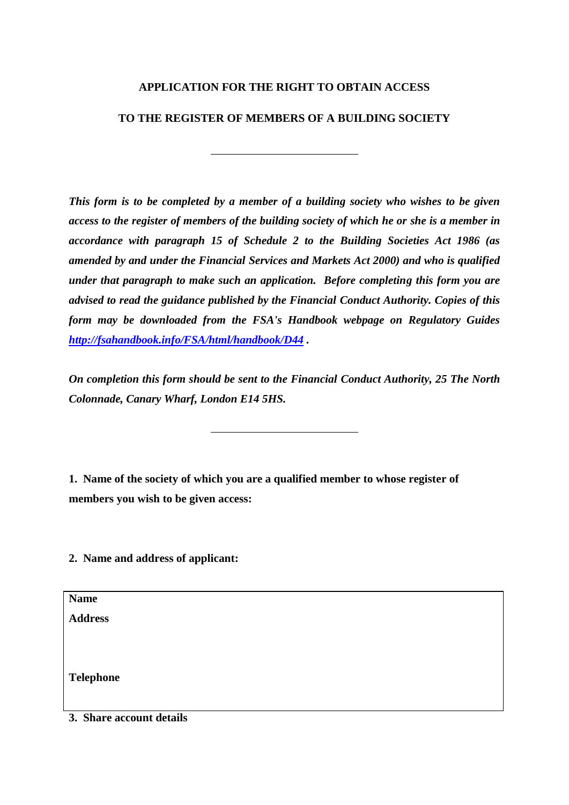# **APPLICATION FOR THE RIGHT TO OBTAIN ACCESS**

# **TO THE REGISTER OF MEMBERS OF A BUILDING SOCIETY**

*This form is to be completed by a member of a building society who wishes to be given access to the register of members of the building society of which he or she is a member in accordance with paragraph 15 of Schedule 2 to the Building Societies Act 1986 (as amended by and under the Financial Services and Markets Act 2000) and who is qualified under that paragraph to make such an application. Before completing this form you are advised to read the guidance published by the Financial Conduct Authority. Copies of this form may be downloaded from the FSA's Handbook webpage on Regulatory Guides <http://fsahandbook.info/FSA/html/handbook/D44> .*

*On completion this form should be sent to the Financial Conduct Authority, 25 The North Colonnade, Canary Wharf, London E14 5HS.* 

**1. Name of the society of which you are a qualified member to whose register of members you wish to be given access:**

**2. Name and address of applicant:**

**Name**

**Address**

**Telephone** 

**3. Share account details**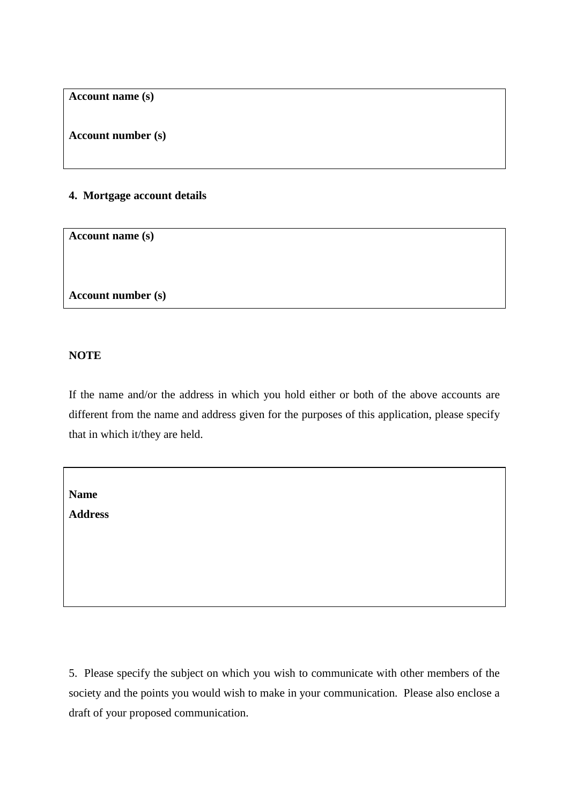**Account name (s)**

**Account number (s)**

# **4. Mortgage account details**

**Account name (s)**

**Account number (s)**

# **NOTE**

If the name and/or the address in which you hold either or both of the above accounts are different from the name and address given for the purposes of this application, please specify that in which it/they are held.

**Name**

**Address**

5. Please specify the subject on which you wish to communicate with other members of the society and the points you would wish to make in your communication. Please also enclose a draft of your proposed communication.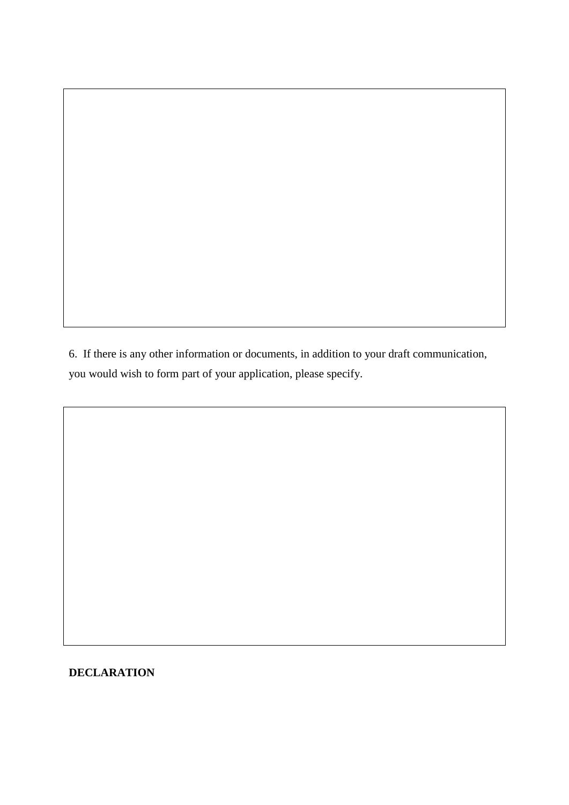6. If there is any other information or documents, in addition to your draft communication, you would wish to form part of your application, please specify.

# **DECLARATION**